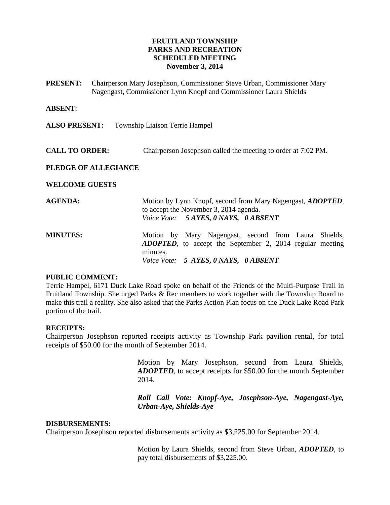## **FRUITLAND TOWNSHIP PARKS AND RECREATION SCHEDULED MEETING November 3, 2014**

**PRESENT:** Chairperson Mary Josephson, Commissioner Steve Urban, Commissioner Mary Nagengast, Commissioner Lynn Knopf and Commissioner Laura Shields

**ABSENT**:

**ALSO PRESENT:** Township Liaison Terrie Hampel

**CALL TO ORDER:** Chairperson Josephson called the meeting to order at 7:02 PM.

#### **PLEDGE OF ALLEGIANCE**

#### **WELCOME GUESTS**

| <b>AGENDA:</b>  | Motion by Lynn Knopf, second from Mary Nagengast, <i>ADOPTED</i> ,<br>to accept the November 3, 2014 agenda.                         |
|-----------------|--------------------------------------------------------------------------------------------------------------------------------------|
|                 | Voice Vote: 5 AYES, 0 NAYS, 0 ABSENT                                                                                                 |
| <b>MINUTES:</b> | Motion by Mary Nagengast, second from Laura Shields,<br><b>ADOPTED</b> , to accept the September 2, 2014 regular meeting<br>minutes. |
|                 | Voice Vote: 5 AYES, 0 NAYS, 0 ABSENT                                                                                                 |

### **PUBLIC COMMENT:**

Terrie Hampel, 6171 Duck Lake Road spoke on behalf of the Friends of the Multi-Purpose Trail in Fruitland Township. She urged Parks & Rec members to work together with the Township Board to make this trail a reality. She also asked that the Parks Action Plan focus on the Duck Lake Road Park portion of the trail.

#### **RECEIPTS:**

Chairperson Josephson reported receipts activity as Township Park pavilion rental, for total receipts of \$50.00 for the month of September 2014.

> Motion by Mary Josephson, second from Laura Shields, *ADOPTED*, to accept receipts for \$50.00 for the month September 2014.

> *Roll Call Vote: Knopf-Aye, Josephson-Aye, Nagengast-Aye, Urban-Aye, Shields-Aye*

#### **DISBURSEMENTS:**

Chairperson Josephson reported disbursements activity as \$3,225.00 for September 2014.

Motion by Laura Shields, second from Steve Urban, *ADOPTED*, to pay total disbursements of \$3,225.00.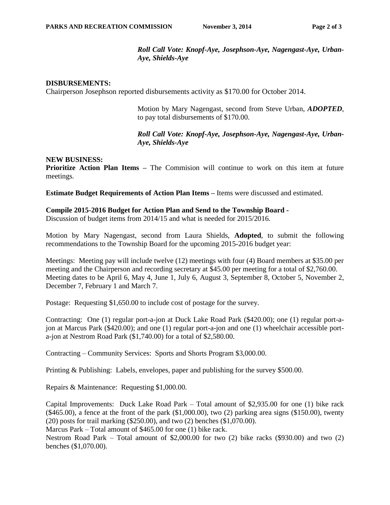*Roll Call Vote: Knopf-Aye, Josephson-Aye, Nagengast-Aye, Urban-Aye, Shields-Aye*

#### **DISBURSEMENTS:**

Chairperson Josephson reported disbursements activity as \$170.00 for October 2014.

Motion by Mary Nagengast, second from Steve Urban, *ADOPTED*, to pay total disbursements of \$170.00.

*Roll Call Vote: Knopf-Aye, Josephson-Aye, Nagengast-Aye, Urban-Aye, Shields-Aye*

## **NEW BUSINESS:**

**Prioritize Action Plan Items –** The Commision will continue to work on this item at future meetings.

**Estimate Budget Requirements of Action Plan Items –** Items were discussed and estimated.

# **Compile 2015-2016 Budget for Action Plan and Send to the Township Board -**

Discussion of budget items from 2014/15 and what is needed for 2015/2016.

Motion by Mary Nagengast, second from Laura Shields, **Adopted**, to submit the following recommendations to the Township Board for the upcoming 2015-2016 budget year:

Meetings: Meeting pay will include twelve (12) meetings with four (4) Board members at \$35.00 per meeting and the Chairperson and recording secretary at \$45.00 per meeting for a total of \$2,760.00. Meeting dates to be April 6, May 4, June 1, July 6, August 3, September 8, October 5, November 2, December 7, February 1 and March 7.

Postage: Requesting \$1,650.00 to include cost of postage for the survey.

Contracting: One (1) regular port-a-jon at Duck Lake Road Park (\$420.00); one (1) regular port-ajon at Marcus Park (\$420.00); and one (1) regular port-a-jon and one (1) wheelchair accessible porta-jon at Nestrom Road Park (\$1,740.00) for a total of \$2,580.00.

Contracting – Community Services: Sports and Shorts Program \$3,000.00.

Printing & Publishing: Labels, envelopes, paper and publishing for the survey \$500.00.

Repairs & Maintenance: Requesting \$1,000.00.

Capital Improvements: Duck Lake Road Park – Total amount of \$2,935.00 for one (1) bike rack  $(\$465.00)$ , a fence at the front of the park  $(\$1,000.00)$ , two  $(2)$  parking area signs  $(\$150.00)$ , twenty (20) posts for trail marking (\$250.00), and two (2) benches (\$1,070.00).

Marcus Park – Total amount of \$465.00 for one (1) bike rack.

Nestrom Road Park – Total amount of \$2,000.00 for two (2) bike racks (\$930.00) and two (2) benches (\$1,070.00).